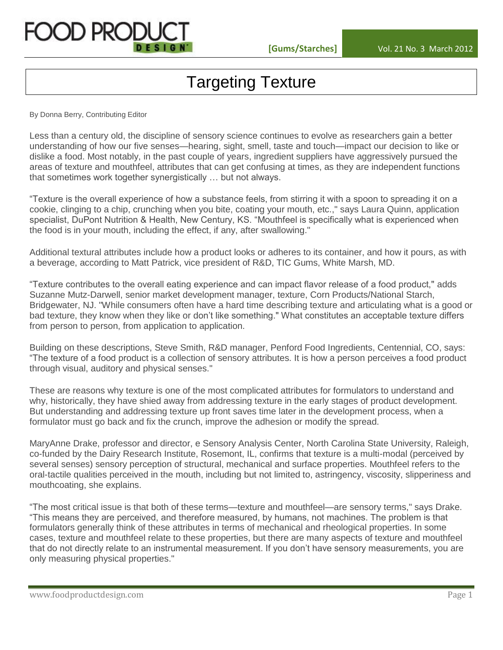

# Targeting Texture

By Donna Berry, Contributing Editor

Less than a century old, the discipline of sensory science continues to evolve as researchers gain a better understanding of how our five senses—hearing, sight, smell, taste and touch—impact our decision to like or dislike a food. Most notably, in the past couple of years, ingredient suppliers have aggressively pursued the areas of texture and mouthfeel, attributes that can get confusing at times, as they are independent functions that sometimes work together synergistically … but not always.

"Texture is the overall experience of how a substance feels, from stirring it with a spoon to spreading it on a cookie, clinging to a chip, crunching when you bite, coating your mouth, etc.," says Laura Quinn, application specialist, DuPont Nutrition & Health, New Century, KS. "Mouthfeel is specifically what is experienced when the food is in your mouth, including the effect, if any, after swallowing."

Additional textural attributes include how a product looks or adheres to its container, and how it pours, as with a beverage, according to Matt Patrick, vice president of R&D, TIC Gums, White Marsh, MD.

"Texture contributes to the overall eating experience and can impact flavor release of a food product," adds Suzanne Mutz-Darwell, senior market development manager, texture, Corn Products/National Starch, Bridgewater, NJ. "While consumers often have a hard time describing texture and articulating what is a good or bad texture, they know when they like or don't like something." What constitutes an acceptable texture differs from person to person, from application to application.

Building on these descriptions, Steve Smith, R&D manager, Penford Food Ingredients, Centennial, CO, says: "The texture of a food product is a collection of sensory attributes. It is how a person perceives a food product through visual, auditory and physical senses."

These are reasons why texture is one of the most complicated attributes for formulators to understand and why, historically, they have shied away from addressing texture in the early stages of product development. But understanding and addressing texture up front saves time later in the development process, when a formulator must go back and fix the crunch, improve the adhesion or modify the spread.

MaryAnne Drake, professor and director, e Sensory Analysis Center, North Carolina State University, Raleigh, co-funded by the Dairy Research Institute, Rosemont, IL, confirms that texture is a multi-modal (perceived by several senses) sensory perception of structural, mechanical and surface properties. Mouthfeel refers to the oral-tactile qualities perceived in the mouth, including but not limited to, astringency, viscosity, slipperiness and mouthcoating, she explains.

"The most critical issue is that both of these terms—texture and mouthfeel—are sensory terms," says Drake. "This means they are perceived, and therefore measured, by humans, not machines. The problem is that formulators generally think of these attributes in terms of mechanical and rheological properties. In some cases, texture and mouthfeel relate to these properties, but there are many aspects of texture and mouthfeel that do not directly relate to an instrumental measurement. If you don't have sensory measurements, you are only measuring physical properties."

www.foodproductdesign.com **Page 1**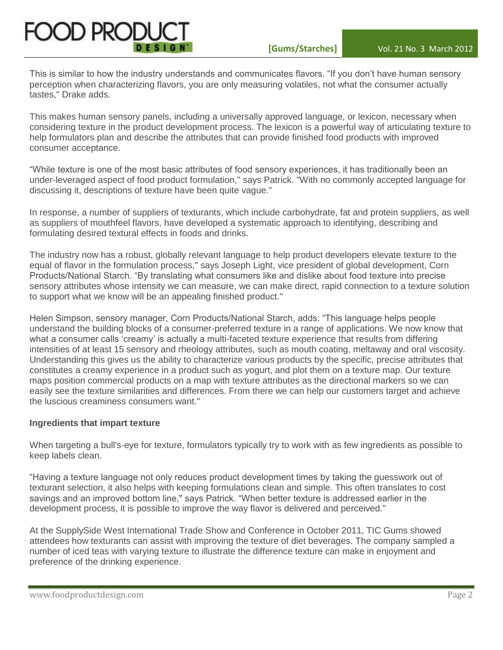

This is similar to how the industry understands and communicates flavors. "If you don't have human sensory perception when characterizing flavors, you are only measuring volatiles, not what the consumer actually tastes," Drake adds.

This makes human sensory panels, including a universally approved language, or lexicon, necessary when considering texture in the product development process. The lexicon is a powerful way of articulating texture to help formulators plan and describe the attributes that can provide finished food products with improved consumer acceptance.

"While texture is one of the most basic attributes of food sensory experiences, it has traditionally been an under-leveraged aspect of food product formulation," says Patrick. "With no commonly accepted language for discussing it, descriptions of texture have been quite vague."

In response, a number of suppliers of texturants, which include carbohydrate, fat and protein suppliers, as well as suppliers of mouthfeel flavors, have developed a systematic approach to identifying, describing and formulating desired textural effects in foods and drinks.

The industry now has a robust, globally relevant language to help product developers elevate texture to the equal of flavor in the formulation process," says Joseph Light, vice president of global development, Corn Products/National Starch. "By translating what consumers like and dislike about food texture into precise sensory attributes whose intensity we can measure, we can make direct, rapid connection to a texture solution to support what we know will be an appealing finished product."

Helen Simpson, sensory manager, Corn Products/National Starch, adds: "This language helps people understand the building blocks of a consumer-preferred texture in a range of applications. We now know that what a consumer calls 'creamy' is actually a multi-faceted texture experience that results from differing intensities of at least 15 sensory and rheology attributes, such as mouth coating, meltaway and oral viscosity. Understanding this gives us the ability to characterize various products by the specific, precise attributes that constitutes a creamy experience in a product such as yogurt, and plot them on a texture map. Our texture maps position commercial products on a map with texture attributes as the directional markers so we can easily see the texture similarities and differences. From there we can help our customers target and achieve the luscious creaminess consumers want."

# **Ingredients that impart texture**

When targeting a bull's-eye for texture, formulators typically try to work with as few ingredients as possible to keep labels clean.

"Having a texture language not only reduces product development times by taking the guesswork out of texturant selection, it also helps with keeping formulations clean and simple. This often translates to cost savings and an improved bottom line," says Patrick. "When better texture is addressed earlier in the development process, it is possible to improve the way flavor is delivered and perceived."

At the SupplySide West International Trade Show and Conference in October 2011, TIC Gums showed attendees how texturants can assist with improving the texture of diet beverages. The company sampled a number of iced teas with varying texture to illustrate the difference texture can make in enjoyment and preference of the drinking experience.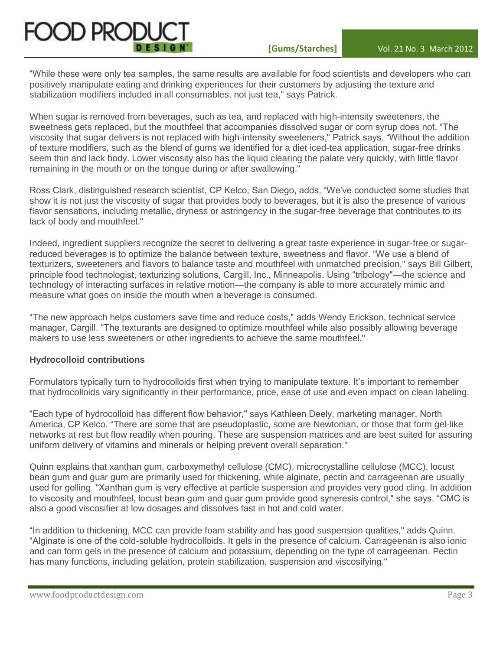"While these were only tea samples, the same results are available for food scientists and developers who can positively manipulate eating and drinking experiences for their customers by adjusting the texture and stabilization modifiers included in all consumables, not just tea," says Patrick.

When sugar is removed from beverages, such as tea, and replaced with high-intensity sweeteners, the sweetness gets replaced, but the mouthfeel that accompanies dissolved sugar or corn syrup does not. "The viscosity that sugar delivers is not replaced with high-intensity sweeteners," Patrick says. "Without the addition of texture modifiers, such as the blend of gums we identified for a diet iced-tea application, sugar-free drinks seem thin and lack body. Lower viscosity also has the liquid clearing the palate very quickly, with little flavor remaining in the mouth or on the tongue during or after swallowing."

Ross Clark, distinguished research scientist, CP Kelco, San Diego, adds, "We've conducted some studies that show it is not just the viscosity of sugar that provides body to beverages, but it is also the presence of various flavor sensations, including metallic, dryness or astringency in the sugar-free beverage that contributes to its lack of body and mouthfeel."

Indeed, ingredient suppliers recognize the secret to delivering a great taste experience in sugar-free or sugarreduced beverages is to optimize the balance between texture, sweetness and flavor. "We use a blend of texturizers, sweeteners and flavors to balance taste and mouthfeel with unmatched precision," says Bill Gilbert, principle food technologist, texturizing solutions, Cargill, Inc., Minneapolis. Using "tribology"—the science and technology of interacting surfaces in relative motion—the company is able to more accurately mimic and measure what goes on inside the mouth when a beverage is consumed.

"The new approach helps customers save time and reduce costs," adds Wendy Erickson, technical service manager, Cargill. "The texturants are designed to optimize mouthfeel while also possibly allowing beverage makers to use less sweeteners or other ingredients to achieve the same mouthfeel."

# **Hydrocolloid contributions**

Formulators typically turn to hydrocolloids first when trying to manipulate texture. It's important to remember that hydrocolloids vary significantly in their performance, price, ease of use and even impact on clean labeling.

"Each type of hydrocolloid has different flow behavior," says Kathleen Deely, marketing manager, North America, CP Kelco. "There are some that are pseudoplastic, some are Newtonian, or those that form gel-like networks at rest but flow readily when pouring. These are suspension matrices and are best suited for assuring uniform delivery of vitamins and minerals or helping prevent overall separation."

Quinn explains that xanthan gum, carboxymethyl cellulose (CMC), microcrystalline cellulose (MCC), locust bean gum and guar gum are primarily used for thickening, while alginate, pectin and carrageenan are usually used for gelling. "Xanthan gum is very effective at particle suspension and provides very good cling. In addition to viscosity and mouthfeel, locust bean gum and guar gum provide good syneresis control," she says. "CMC is also a good viscosifier at low dosages and dissolves fast in hot and cold water.

"In addition to thickening, MCC can provide foam stability and has good suspension qualities," adds Quinn. "Alginate is one of the cold-soluble hydrocolloids. It gels in the presence of calcium. Carrageenan is also ionic and can form gels in the presence of calcium and potassium, depending on the type of carrageenan. Pectin has many functions, including gelation, protein stabilization, suspension and viscosifying."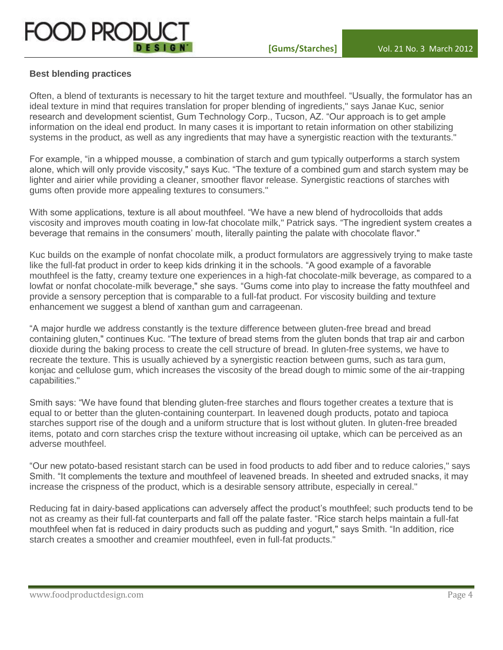

# **Best blending practices**

Often, a blend of texturants is necessary to hit the target texture and mouthfeel. "Usually, the formulator has an ideal texture in mind that requires translation for proper blending of ingredients," says Janae Kuc, senior research and development scientist, Gum Technology Corp., Tucson, AZ. "Our approach is to get ample information on the ideal end product. In many cases it is important to retain information on other stabilizing systems in the product, as well as any ingredients that may have a synergistic reaction with the texturants."

For example, "in a whipped mousse, a combination of starch and gum typically outperforms a starch system alone, which will only provide viscosity," says Kuc. "The texture of a combined gum and starch system may be lighter and airier while providing a cleaner, smoother flavor release. Synergistic reactions of starches with gums often provide more appealing textures to consumers."

With some applications, texture is all about mouthfeel. "We have a new blend of hydrocolloids that adds viscosity and improves mouth coating in low-fat chocolate milk," Patrick says. "The ingredient system creates a beverage that remains in the consumers' mouth, literally painting the palate with chocolate flavor."

Kuc builds on the example of nonfat chocolate milk, a product formulators are aggressively trying to make taste like the full-fat product in order to keep kids drinking it in the schools. "A good example of a favorable mouthfeel is the fatty, creamy texture one experiences in a high-fat chocolate-milk beverage, as compared to a lowfat or nonfat chocolate-milk beverage," she says. "Gums come into play to increase the fatty mouthfeel and provide a sensory perception that is comparable to a full-fat product. For viscosity building and texture enhancement we suggest a blend of xanthan gum and carrageenan.

"A major hurdle we address constantly is the texture difference between gluten-free bread and bread containing gluten," continues Kuc. "The texture of bread stems from the gluten bonds that trap air and carbon dioxide during the baking process to create the cell structure of bread. In gluten-free systems, we have to recreate the texture. This is usually achieved by a synergistic reaction between gums, such as tara gum, konjac and cellulose gum, which increases the viscosity of the bread dough to mimic some of the air-trapping capabilities."

Smith says: "We have found that blending gluten-free starches and flours together creates a texture that is equal to or better than the gluten-containing counterpart. In leavened dough products, potato and tapioca starches support rise of the dough and a uniform structure that is lost without gluten. In gluten-free breaded items, potato and corn starches crisp the texture without increasing oil uptake, which can be perceived as an adverse mouthfeel.

"Our new potato-based resistant starch can be used in food products to add fiber and to reduce calories," says Smith. "It complements the texture and mouthfeel of leavened breads. In sheeted and extruded snacks, it may increase the crispness of the product, which is a desirable sensory attribute, especially in cereal."

Reducing fat in dairy-based applications can adversely affect the product's mouthfeel; such products tend to be not as creamy as their full-fat counterparts and fall off the palate faster. "Rice starch helps maintain a full-fat mouthfeel when fat is reduced in dairy products such as pudding and yogurt," says Smith. "In addition, rice starch creates a smoother and creamier mouthfeel, even in full-fat products."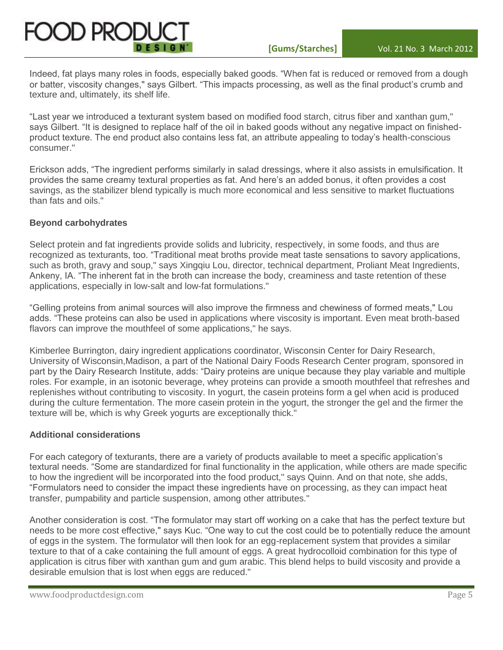

Indeed, fat plays many roles in foods, especially baked goods. "When fat is reduced or removed from a dough or batter, viscosity changes," says Gilbert. "This impacts processing, as well as the final product's crumb and texture and, ultimately, its shelf life.

"Last year we introduced a texturant system based on modified food starch, citrus fiber and xanthan gum," says Gilbert. "It is designed to replace half of the oil in baked goods without any negative impact on finishedproduct texture. The end product also contains less fat, an attribute appealing to today's health-conscious consumer."

Erickson adds, "The ingredient performs similarly in salad dressings, where it also assists in emulsification. It provides the same creamy textural properties as fat. And here's an added bonus, it often provides a cost savings, as the stabilizer blend typically is much more economical and less sensitive to market fluctuations than fats and oils."

# **Beyond carbohydrates**

Select protein and fat ingredients provide solids and lubricity, respectively, in some foods, and thus are recognized as texturants, too. "Traditional meat broths provide meat taste sensations to savory applications, such as broth, gravy and soup," says Xingqiu Lou, director, technical department, Proliant Meat Ingredients, Ankeny, IA. "The inherent fat in the broth can increase the body, creaminess and taste retention of these applications, especially in low-salt and low-fat formulations."

"Gelling proteins from animal sources will also improve the firmness and chewiness of formed meats," Lou adds. "These proteins can also be used in applications where viscosity is important. Even meat broth-based flavors can improve the mouthfeel of some applications," he says.

Kimberlee Burrington, dairy ingredient applications coordinator, Wisconsin Center for Dairy Research, University of Wisconsin,Madison, a part of the National Dairy Foods Research Center program, sponsored in part by the Dairy Research Institute, adds: "Dairy proteins are unique because they play variable and multiple roles. For example, in an isotonic beverage, whey proteins can provide a smooth mouthfeel that refreshes and replenishes without contributing to viscosity. In yogurt, the casein proteins form a gel when acid is produced during the culture fermentation. The more casein protein in the yogurt, the stronger the gel and the firmer the texture will be, which is why Greek yogurts are exceptionally thick."

#### **Additional considerations**

For each category of texturants, there are a variety of products available to meet a specific application's textural needs. "Some are standardized for final functionality in the application, while others are made specific to how the ingredient will be incorporated into the food product," says Quinn. And on that note, she adds, "Formulators need to consider the impact these ingredients have on processing, as they can impact heat transfer, pumpability and particle suspension, among other attributes."

Another consideration is cost. "The formulator may start off working on a cake that has the perfect texture but needs to be more cost effective," says Kuc. "One way to cut the cost could be to potentially reduce the amount of eggs in the system. The formulator will then look for an egg-replacement system that provides a similar texture to that of a cake containing the full amount of eggs. A great hydrocolloid combination for this type of application is citrus fiber with xanthan gum and gum arabic. This blend helps to build viscosity and provide a desirable emulsion that is lost when eggs are reduced."